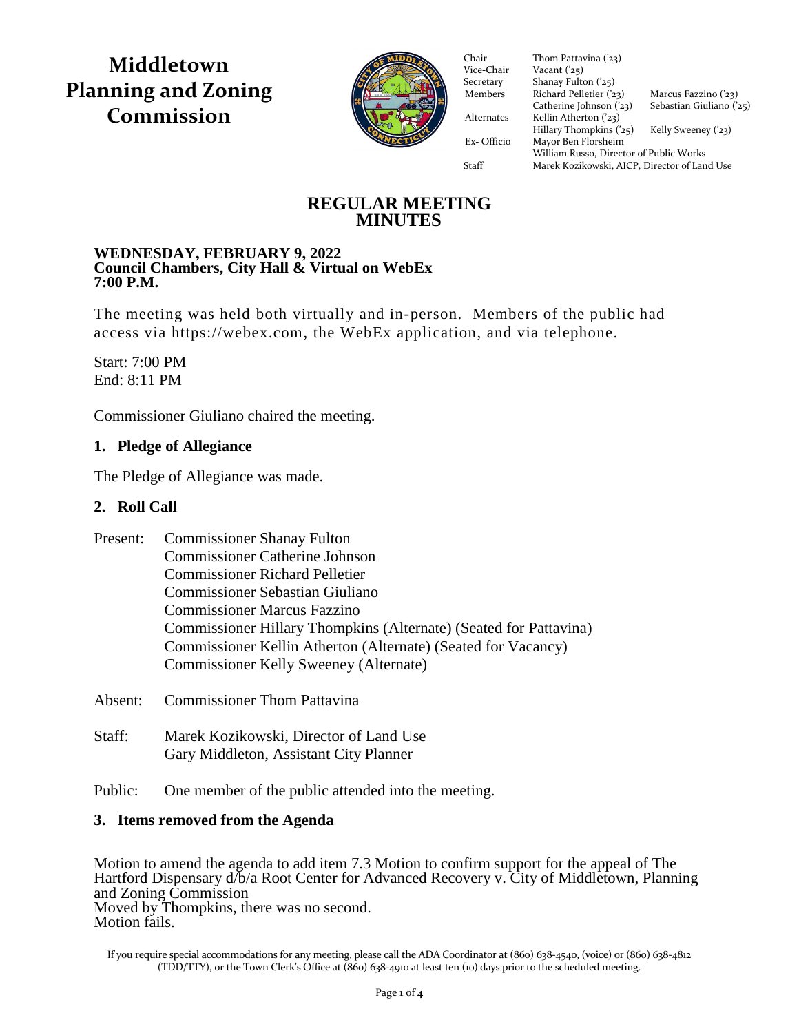**Middletown Planning and Zoning Commission**



Vice-Chair Vacant  $(25)$ Secretary Shanay Fulton ('25) Members Richard Pelletier  $(23)$  Marcus Fazzino  $(23)$ Catherine Johnson  $(23)$  Sebastian Giuliano  $(25)$ Alternates Kellin Atherton ('23)  $Hillary Thompson (25)$  Kelly Sweeney ('23) Ex- Officio Mayor Ben Florsheim Ex- Officio Mayor Ben Florsheim Chair Thom Pattavina ('23)<br>Vice-Chair Vacant ('25) William Russo, Director of Public Works Staff Marek Kozikowski, AICP, Director of Land Use

# **REGULAR MEETING MINUTES**

#### **WEDNESDAY, FEBRUARY 9, 2022 Council Chambers, City Hall & Virtual on WebEx 7:00 P.M.**

The meeting was held both virtually and in-person. Members of the public had access via [https://webex.com,](https://webex.com/) the WebEx application, and via telephone.

Start: 7:00 PM End: 8:11 PM

Commissioner Giuliano chaired the meeting.

# **1. Pledge of Allegiance**

The Pledge of Allegiance was made.

# **2. Roll Call**

| Present: | <b>Commissioner Shanay Fulton</b>                                 |
|----------|-------------------------------------------------------------------|
|          | <b>Commissioner Catherine Johnson</b>                             |
|          | <b>Commissioner Richard Pelletier</b>                             |
|          | <b>Commissioner Sebastian Giuliano</b>                            |
|          | <b>Commissioner Marcus Fazzino</b>                                |
|          | Commissioner Hillary Thompkins (Alternate) (Seated for Pattavina) |
|          | Commissioner Kellin Atherton (Alternate) (Seated for Vacancy)     |
|          | Commissioner Kelly Sweeney (Alternate)                            |
|          |                                                                   |

Absent: Commissioner Thom Pattavina

- Staff: Marek Kozikowski, Director of Land Use Gary Middleton, Assistant City Planner
- Public: One member of the public attended into the meeting.

# **3. Items removed from the Agenda**

Motion to amend the agenda to add item 7.3 Motion to confirm support for the appeal of The Hartford Dispensary d/b/a Root Center for Advanced Recovery v. City of Middletown, Planning and Zoning Commission Moved by Thompkins, there was no second. Motion fails.

If you require special accommodations for any meeting, please call the ADA Coordinator at (860) 638-4540, (voice) or (860) 638-4812 (TDD/TTY), or the Town Clerk's Office at (860) 638-4910 at least ten (10) days prior to the scheduled meeting.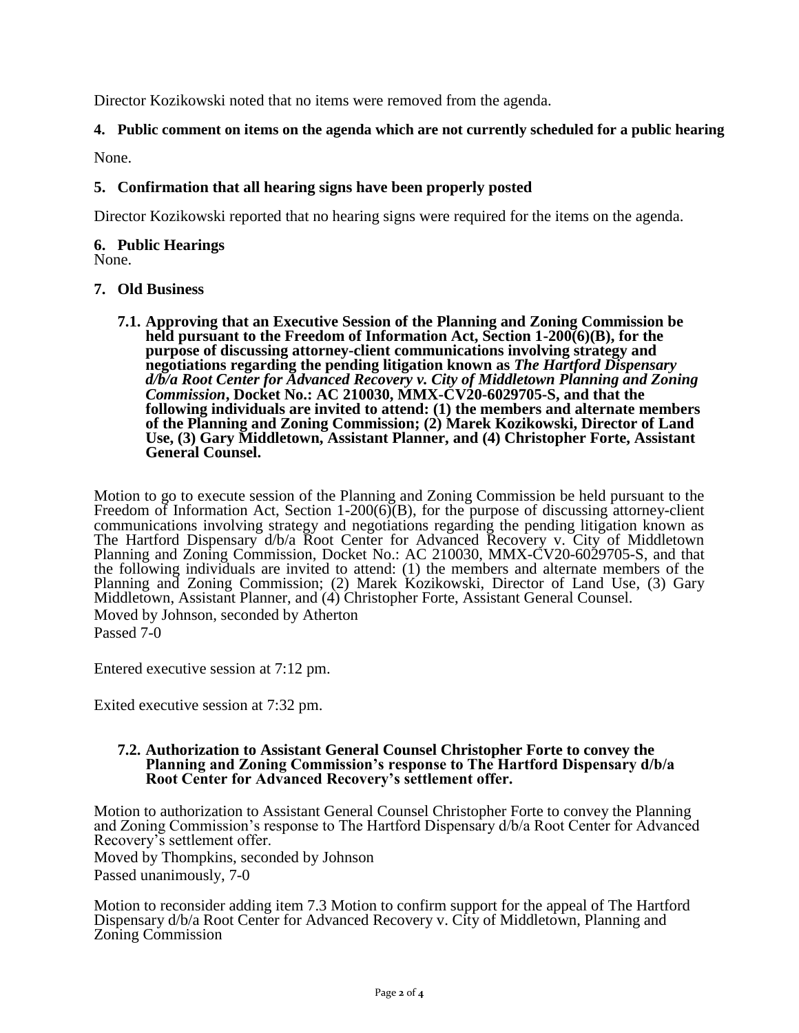Director Kozikowski noted that no items were removed from the agenda.

# **4. Public comment on items on the agenda which are not currently scheduled for a public hearing**

None.

## **5. Confirmation that all hearing signs have been properly posted**

Director Kozikowski reported that no hearing signs were required for the items on the agenda.

# **6. Public Hearings**

None.

# **7. Old Business**

**7.1. Approving that an Executive Session of the Planning and Zoning Commission be held pursuant to the Freedom of Information Act, Section 1-200(6)(B), for the purpose of discussing attorney-client communications involving strategy and negotiations regarding the pending litigation known as** *The Hartford Dispensary d/b/a Root Center for Advanced Recovery v. City of Middletown Planning and Zoning Commission***, Docket No.: AC 210030, MMX-CV20-6029705-S, and that the following individuals are invited to attend: (1) the members and alternate members of the Planning and Zoning Commission; (2) Marek Kozikowski, Director of Land Use, (3) Gary Middletown, Assistant Planner, and (4) Christopher Forte, Assistant General Counsel.**

Motion to go to execute session of the Planning and Zoning Commission be held pursuant to the Freedom of Information Act, Section 1-200(6)(B), for the purpose of discussing attorney-client communications involving strategy and negotiations regarding the pending litigation known as The Hartford Dispensary d/b/a Root Center for Advanced Recovery v. City of Middletown Planning and Zoning Commission, Docket No.: AC 210030, MMX-CV20-6029705-S, and that the following individuals are invited to attend: (1) the members and alternate members of the Planning and Zoning Commission; (2) Marek Kozikowski, Director of Land Use, (3) Gary Middletown, Assistant Planner, and (4) Christopher Forte, Assistant General Counsel. Moved by Johnson, seconded by Atherton Passed 7-0

Entered executive session at 7:12 pm.

Exited executive session at 7:32 pm.

#### **7.2. Authorization to Assistant General Counsel Christopher Forte to convey the Planning and Zoning Commission's response to The Hartford Dispensary d/b/a Root Center for Advanced Recovery's settlement offer.**

Motion to authorization to Assistant General Counsel Christopher Forte to convey the Planning and Zoning Commission's response to The Hartford Dispensary d/b/a Root Center for Advanced Recovery's settlement offer.

Moved by Thompkins, seconded by Johnson Passed unanimously, 7-0

Motion to reconsider adding item 7.3 Motion to confirm support for the appeal of The Hartford Dispensary d/b/a Root Center for Advanced Recovery v. City of Middletown, Planning and Zoning Commission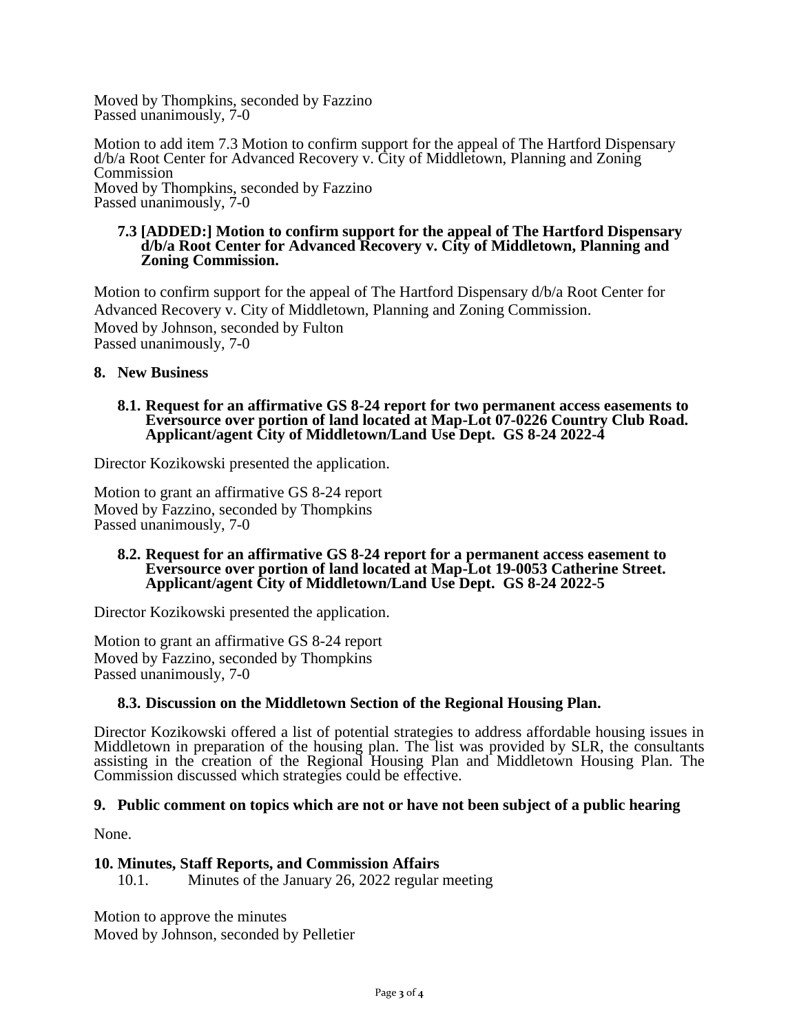Moved by Thompkins, seconded by Fazzino Passed unanimously,  $7-0$ 

Motion to add item 7.3 Motion to confirm support for the appeal of The Hartford Dispensary d/b/a Root Center for Advanced Recovery v. City of Middletown, Planning and Zoning Commission Moved by Thompkins, seconded by Fazzino Passed unanimously, 7-0

#### **7.3 [ADDED:] Motion to confirm support for the appeal of The Hartford Dispensary d/b/a Root Center for Advanced Recovery v. City of Middletown, Planning and Zoning Commission.**

Motion to confirm support for the appeal of The Hartford Dispensary d/b/a Root Center for Advanced Recovery v. City of Middletown, Planning and Zoning Commission. Moved by Johnson, seconded by Fulton Passed unanimously, 7-0

### **8. New Business**

#### **8.1. Request for an affirmative GS 8-24 report for two permanent access easements to Eversource over portion of land located at Map-Lot 07-0226 Country Club Road. Applicant/agent City of Middletown/Land Use Dept. GS 8-24 2022-4**

Director Kozikowski presented the application.

Motion to grant an affirmative GS 8-24 report Moved by Fazzino, seconded by Thompkins Passed unanimously, 7-0

#### **8.2. Request for an affirmative GS 8-24 report for a permanent access easement to Eversource over portion of land located at Map-Lot 19-0053 Catherine Street. Applicant/agent City of Middletown/Land Use Dept. GS 8-24 2022-5**

Director Kozikowski presented the application.

Motion to grant an affirmative GS 8-24 report Moved by Fazzino, seconded by Thompkins Passed unanimously, 7-0

## **8.3. Discussion on the Middletown Section of the Regional Housing Plan.**

Director Kozikowski offered a list of potential strategies to address affordable housing issues in Middletown in preparation of the housing plan. The list was provided by SLR, the consultants assisting in the creation of the Regional Housing Plan and Middletown Housing Plan. The Commission discussed which strategies could be effective.

#### **9. Public comment on topics which are not or have not been subject of a public hearing**

None.

## **10. Minutes, Staff Reports, and Commission Affairs**

10.1. Minutes of the January 26, 2022 regular meeting

Motion to approve the minutes Moved by Johnson, seconded by Pelletier